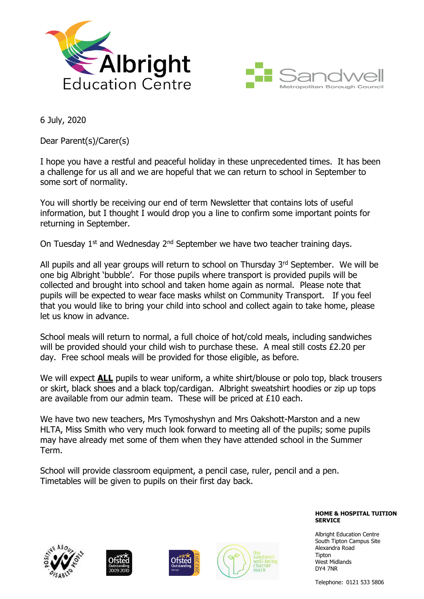



6 July, 2020

Dear Parent(s)/Carer(s)

I hope you have a restful and peaceful holiday in these unprecedented times. It has been a challenge for us all and we are hopeful that we can return to school in September to some sort of normality.

You will shortly be receiving our end of term Newsletter that contains lots of useful information, but I thought I would drop you a line to confirm some important points for returning in September.

On Tuesday 1<sup>st</sup> and Wednesday 2<sup>nd</sup> September we have two teacher training days.

All pupils and all year groups will return to school on Thursday 3rd September. We will be one big Albright 'bubble'. For those pupils where transport is provided pupils will be collected and brought into school and taken home again as normal. Please note that pupils will be expected to wear face masks whilst on Community Transport. If you feel that you would like to bring your child into school and collect again to take home, please let us know in advance.

School meals will return to normal, a full choice of hot/cold meals, including sandwiches will be provided should your child wish to purchase these. A meal still costs £2.20 per day. Free school meals will be provided for those eligible, as before.

We will expect **ALL** pupils to wear uniform, a white shirt/blouse or polo top, black trousers or skirt, black shoes and a black top/cardigan. Albright sweatshirt hoodies or zip up tops are available from our admin team. These will be priced at £10 each.

We have two new teachers, Mrs Tymoshyshyn and Mrs Oakshott-Marston and a new HLTA, Miss Smith who very much look forward to meeting all of the pupils; some pupils may have already met some of them when they have attended school in the Summer Term.

School will provide classroom equipment, a pencil case, ruler, pencil and a pen. Timetables will be given to pupils on their first day back.

> **HOME & HOSPITAL TUITION SERVICE**

Albright Education Centre South Tipton Campus Site Alexandra Road Tipton West Midlands DY4 7NR

Telephone: 0121 533 5806